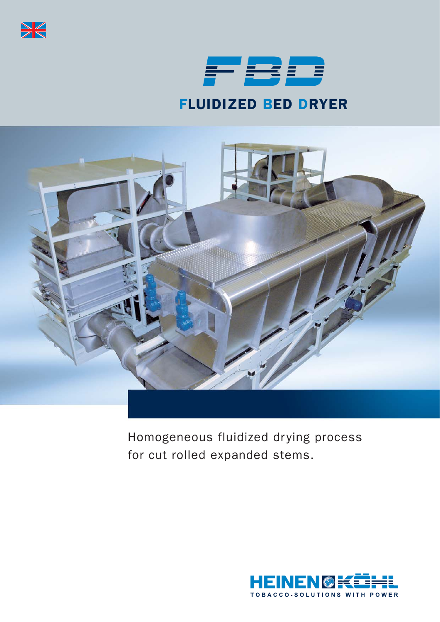



# FLUIDIZED BED DRYER



Homogeneous fluidized drying process for cut rolled expanded stems.

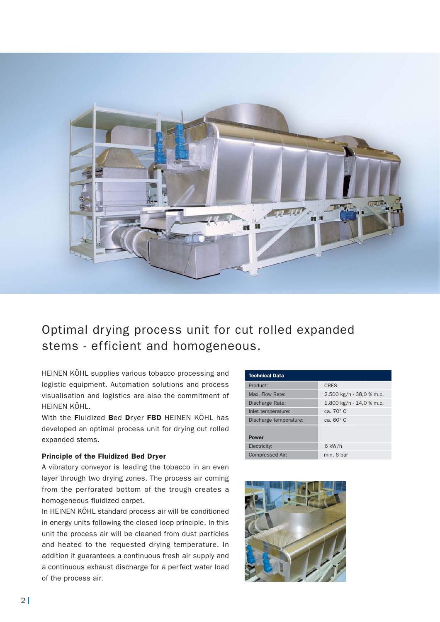

### Optimal drying process unit for cut rolled expanded stems - efficient and homogeneous.

HEINEN KÖHL supplies various tobacco processing and logistic equipment. Automation solutions and process visualisation and logistics are also the commitment of HEINEN KÖHL.

With the Fluidized Bed Dryer FBD HEINEN KÖHL has developed an optimal process unit for drying cut rolled expanded stems.

#### Principle of the Fluidized Bed Dryer

A vibratory conveyor is leading the tobacco in an even layer through two drying zones. The process air coming from the perforated bottom of the trough creates a homogeneous fluidized carpet.

In HEINEN KÖHL standard process air will be conditioned in energy units following the closed loop principle. In this unit the process air will be cleaned from dust particles and heated to the requested drying temperature. In addition it guarantees a continuous fresh air supply and a continuous exhaust discharge for a perfect water load of the process air.

| <b>Technical Data</b>  |                            |  |  |  |  |
|------------------------|----------------------------|--|--|--|--|
| Product:               | <b>CRES</b>                |  |  |  |  |
| Max. Flow Rate:        | 2.500 kg/h - 38,0 % m.c.   |  |  |  |  |
| Discharge Rate:        | 1.800 kg/h $-$ 14,0 % m.c. |  |  |  |  |
| Inlet temperature:     | ca. $70^{\circ}$ C         |  |  |  |  |
| Discharge temperature: | ca. $60^\circ$ C           |  |  |  |  |
| <b>Power</b>           |                            |  |  |  |  |
| Electricity:           | $6$ kW/h                   |  |  |  |  |
| Compressed Air:        | min. 6 har                 |  |  |  |  |

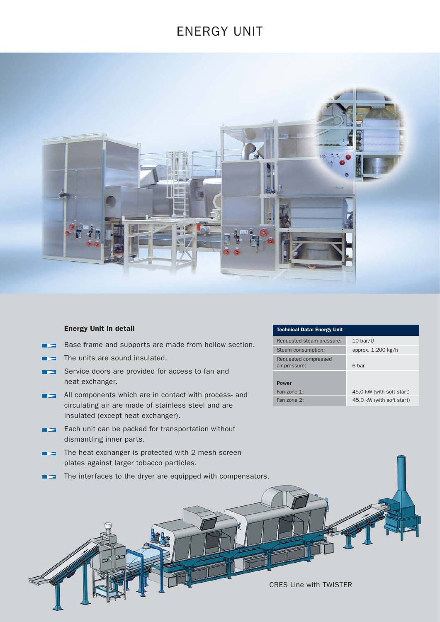### ENERGY UNIT



#### Energy Unit in detail

- Base frame and supports are made from hollow section.
- The units are sound insulated.
- Service doors are provided for access to fan and heat exchanger.
- All components which are in contact with process- and circulating air are made of stainless steel and are insulated (except heat exchanger).
- **Each unit can be packed for transportation without** dismantling inner parts.
- The heat exchanger is protected with 2 mesh screen plates against larger tobacco particles.
- The interfaces to the dryer are equipped with compensators.

#### Technical Data: Energy Unit

| Requested steam pressure:             | $10 \text{ bar}/\tilde{U}$ |  |  |  |
|---------------------------------------|----------------------------|--|--|--|
| Steam consumption:                    | approx. 1.200 kg/h         |  |  |  |
| Requested compressed<br>air pressure: | 6 bar                      |  |  |  |
|                                       |                            |  |  |  |
| <b>Power</b>                          |                            |  |  |  |
| Fan zone 1:                           | 45,0 kW (with soft start)  |  |  |  |
| Fan zone 2:                           | 45,0 kW (with soft start)  |  |  |  |

CRES Line with TWISTER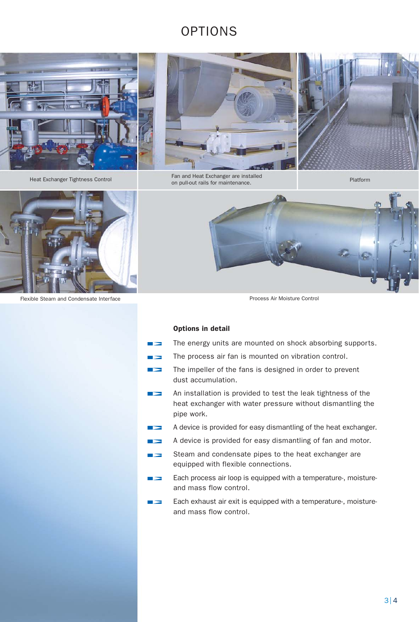## OPTIONS





Heat Exchanger Tightness Control Fan and Heat Exchanger are installed<br>Fan and Heat Exchanger are installed rail and real exchanger are installed<br>on pull-out rails for maintenance.



Flexible Steam and Condensate Interface **Process Air Moisture Control** Process Air Moisture Control



#### Options in detail

T.

| $\blacktriangleright$ | The energy units are mounted on shock absorbing supports. |  |  |  |  |  |  |  |
|-----------------------|-----------------------------------------------------------|--|--|--|--|--|--|--|
|-----------------------|-----------------------------------------------------------|--|--|--|--|--|--|--|

- The process air fan is mounted on vibration control.
- The impeller of the fans is designed in order to prevent  $\blacktriangleright$ dust accumulation.
- $\rightarrow$ An installation is provided to test the leak tightness of the heat exchanger with water pressure without dismantling the pipe work.
- A device is provided for easy dismantling of the heat exchanger.  $\rightarrow$
- A device is provided for easy dismantling of fan and motor.  $\rightarrow$
- Steam and condensate pipes to the heat exchanger are  $\rightarrow$ equipped with flexible connections.
- Each process air loop is equipped with a temperature-, moisture- $\rightarrow$ and mass flow control.
- Each exhaust air exit is equipped with a temperature-, moistureand mass flow control.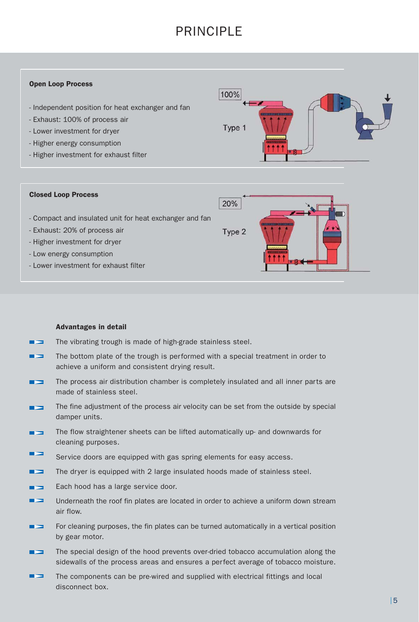## PRINCIPI F

#### Open Loop Process

- Independent position for heat exchanger and fan
- Exhaust: 100% of process air
- Lower investment for dryer
- Higher energy consumption
- Higher investment for exhaust filter



#### Closed Loop Process

20%

Type 2

- Compact and insulated unit for heat exchanger and fan
- Exhaust: 20% of process air
- Higher investment for dryer
- Low energy consumption
- Lower investment for exhaust filter

#### Advantages in detail

- The vibrating trough is made of high-grade stainless steel.
- The bottom plate of the trough is performed with a special treatment in order to ۳. achieve a uniform and consistent drying result.
- The process air distribution chamber is completely insulated and all inner parts are made of stainless steel.
- The fine adjustment of the process air velocity can be set from the outside by special damper units.
- The flow straightener sheets can be lifted automatically up- and downwards for ۳. cleaning purposes.
- Service doors are equipped with gas spring elements for easy access.
- The dryer is equipped with 2 large insulated hoods made of stainless steel. --
- Each hood has a large service door.
- $\mathbf{r}$ Underneath the roof fin plates are located in order to achieve a uniform down stream air flow.
- For cleaning purposes, the fin plates can be turned automatically in a vertical position by gear motor.
- The special design of the hood prevents over-dried tobacco accumulation along the sidewalls of the process areas and ensures a perfect average of tobacco moisture.
- ▅⋝ The components can be pre-wired and supplied with electrical fittings and local disconnect box.